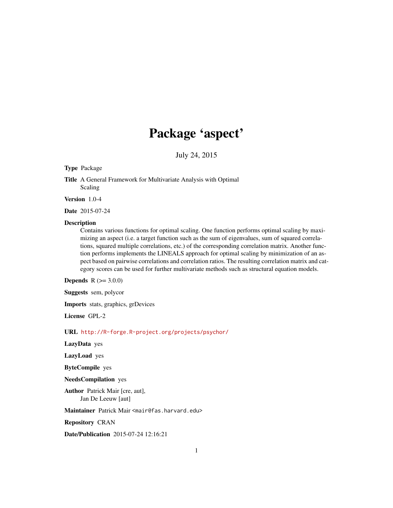# Package 'aspect'

July 24, 2015

#### Type Package

Title A General Framework for Multivariate Analysis with Optimal Scaling

Version 1.0-4

Date 2015-07-24

#### Description

Contains various functions for optimal scaling. One function performs optimal scaling by maximizing an aspect (i.e. a target function such as the sum of eigenvalues, sum of squared correlations, squared multiple correlations, etc.) of the corresponding correlation matrix. Another function performs implements the LINEALS approach for optimal scaling by minimization of an aspect based on pairwise correlations and correlation ratios. The resulting correlation matrix and category scores can be used for further multivariate methods such as structural equation models.

**Depends**  $R (= 3.0.0)$ 

Suggests sem, polycor

Imports stats, graphics, grDevices

License GPL-2

URL <http://R-forge.R-project.org/projects/psychor/>

LazyData yes

LazyLoad yes

ByteCompile yes

NeedsCompilation yes

Author Patrick Mair [cre, aut], Jan De Leeuw [aut]

Maintainer Patrick Mair <mair@fas.harvard.edu>

Repository CRAN

Date/Publication 2015-07-24 12:16:21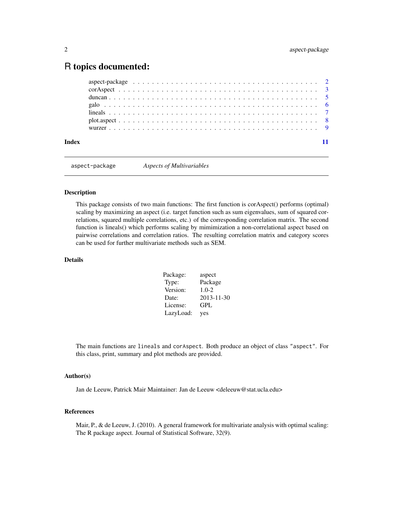# <span id="page-1-0"></span>R topics documented:

| Index |  |  |
|-------|--|--|

aspect-package *Aspects of Multivariables*

#### Description

This package consists of two main functions: The first function is corAspect() performs (optimal) scaling by maximizing an aspect (i.e. target function such as sum eigenvalues, sum of squared correlations, squared multiple correlations, etc.) of the corresponding correlation matrix. The second function is lineals() which performs scaling by mimimization a non-correlational aspect based on pairwise correlations and correlation ratios. The resulting correlation matrix and category scores can be used for further multivariate methods such as SEM.

# **Details**

| Package:  | aspect     |
|-----------|------------|
| Type:     | Package    |
| Version:  | $1.0 - 2$  |
| Date:     | 2013-11-30 |
| License:  | <b>GPL</b> |
| LazyLoad: | yes        |

The main functions are lineals and corAspect. Both produce an object of class "aspect". For this class, print, summary and plot methods are provided.

### Author(s)

Jan de Leeuw, Patrick Mair Maintainer: Jan de Leeuw <deleeuw@stat.ucla.edu>

#### References

Mair, P., & de Leeuw, J. (2010). A general framework for multivariate analysis with optimal scaling: The R package aspect. Journal of Statistical Software, 32(9).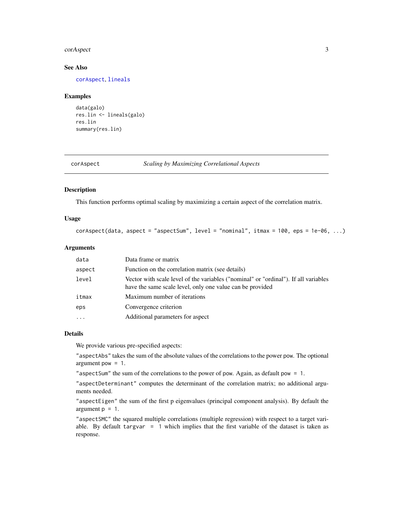#### <span id="page-2-0"></span>corAspect 3

# See Also

[corAspect](#page-2-1), [lineals](#page-6-1)

#### Examples

```
data(galo)
res.lin <- lineals(galo)
res.lin
summary(res.lin)
```
<span id="page-2-1"></span>

| corAspect |  |
|-----------|--|
|           |  |

# spect **Scaling by Maximizing Correlational Aspects**

# Description

This function performs optimal scaling by maximizing a certain aspect of the correlation matrix.

# Usage

```
corAspect(data, aspect = "aspectSum", level = "nominal", itmax = 100,eps = 1e-06, ...)
```
# Arguments

| data     | Data frame or matrix                                                                                                                             |
|----------|--------------------------------------------------------------------------------------------------------------------------------------------------|
| aspect   | Function on the correlation matrix (see details)                                                                                                 |
| level    | Vector with scale level of the variables ("nominal" or "ordinal"). If all variables<br>have the same scale level, only one value can be provided |
| itmax    | Maximum number of iterations                                                                                                                     |
| eps      | Convergence criterion                                                                                                                            |
| $\cdots$ | Additional parameters for aspect                                                                                                                 |

#### Details

We provide various pre-specified aspects:

"aspectAbs" takes the sum of the absolute values of the correlations to the power pow. The optional argument pow  $= 1$ .

"aspectSum" the sum of the correlations to the power of pow. Again, as default pow = 1.

"aspectDeterminant" computes the determinant of the correlation matrix; no additional arguments needed.

"aspectEigen" the sum of the first p eigenvalues (principal component analysis). By default the argument  $p = 1$ .

"aspectSMC" the squared multiple correlations (multiple regression) with respect to a target variable. By default targvar = 1 which implies that the first variable of the dataset is taken as response.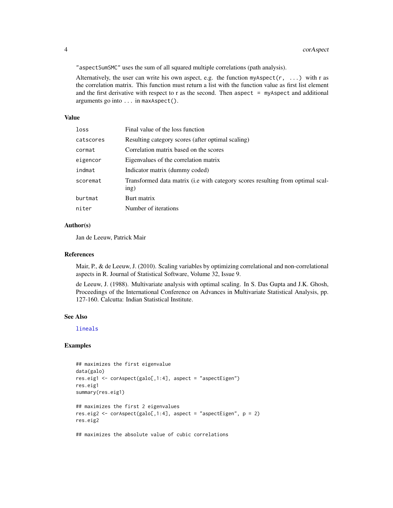"aspectSumSMC" uses the sum of all squared multiple correlations (path analysis).

Alternatively, the user can write his own aspect, e.g. the function myAspect( $r, \ldots$ ) with r as the correlation matrix. This function must return a list with the function value as first list element and the first derivative with respect to r as the second. Then aspect  $=$  myAspect and additional arguments go into ... in maxAspect().

# Value

| loss      | Final value of the loss function                                                       |
|-----------|----------------------------------------------------------------------------------------|
| catscores | Resulting category scores (after optimal scaling)                                      |
| cormat    | Correlation matrix based on the scores                                                 |
| eigencor  | Eigenvalues of the correlation matrix                                                  |
| indmat    | Indicator matrix (dummy coded)                                                         |
| scoremat  | Transformed data matrix (i.e with category scores resulting from optimal scal-<br>ing) |
| burtmat   | Burt matrix                                                                            |
| niter     | Number of iterations                                                                   |

# Author(s)

Jan de Leeuw, Patrick Mair

# References

Mair, P., & de Leeuw, J. (2010). Scaling variables by optimizing correlational and non-correlational aspects in R. Journal of Statistical Software, Volume 32, Issue 9.

de Leeuw, J. (1988). Multivariate analysis with optimal scaling. In S. Das Gupta and J.K. Ghosh, Proceedings of the International Conference on Advances in Multivariate Statistical Analysis, pp. 127-160. Calcutta: Indian Statistical Institute.

# See Also

[lineals](#page-6-1)

# Examples

```
## maximizes the first eigenvalue
data(galo)
res.eig1 <- corAspect(galo[,1:4], aspect = "aspectEigen")
res.eig1
summary(res.eig1)
## maximizes the first 2 eigenvalues
res.eig2 <- corAspect(galo[,1:4], aspect = "aspectEigen", p = 2)
res.eig2
## maximizes the absolute value of cubic correlations
```
<span id="page-3-0"></span>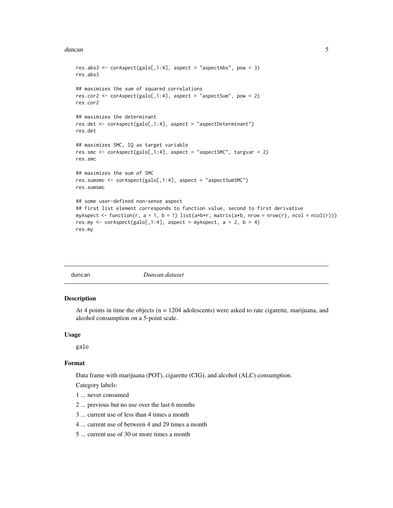#### <span id="page-4-0"></span>duncan 5 and 5 and 5 and 5 and 5 and 5 and 5 and 5 and 5 and 5 and 5 and 5 and 5 and 5 and 5 and 5 and 5 and 5

```
res.abs3 <- corAspect(galo[,1:4], aspect = "aspectAbs", pow = 3)
res.abs3
## maximizes the sum of squared correlations
res.cor2 <- corAspect(galo[,1:4], aspect = "aspectSum", pow = 2)
res.cor2
## maximizes the determinant
res.det <- corAspect(galo[,1:4], aspect = "aspectDeterminant")
res.det
## maximizes SMC, IQ as target variable
res.smc <- corAspect(galo[,1:4], aspect = "aspectSMC", targvar = 2)
res.smc
## maximizes the sum of SMC
res.sumsmc <- corAspect(galo[,1:4], aspect = "aspectSumSMC")
res.sumsmc
## some user-defined non-sense aspect
## first list element corresponds to function value, second to first derivative
myAspect <- function(r, a = 1, b = 1) list(a * b * r, matrix(a * b, nrow = nrow(r), ncol = ncol(r)))
res.my \le corAspect(galo[,1:4], aspect = myAspect, a = 2, b = 4)
res.my
```

|--|

# Description

At 4 points in time the objects  $(n = 1204$  adolescents) were asked to rate cigarette, marijuana, and alcohol consumption on a 5-point scale.

#### Usage

galo

# Format

Data frame with marijuana (POT), cigarette (CIG), and alcohol (ALC) consumption.

Category labels:

- 1 ... never consumed
- 2 ... previous but no use over the last 6 months
- 3 ... current use of less than 4 times a month
- 4 ... current use of between 4 and 29 times a month
- 5 ... current use of 30 or more times a month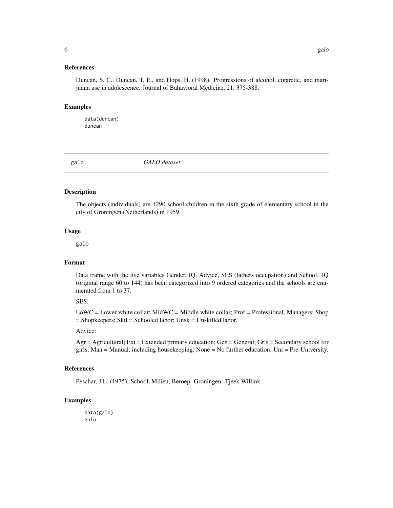# <span id="page-5-0"></span>References

Duncan, S. C., Duncan, T. E., and Hops, H. (1998). Progressions of alcohol, cigarette, and marijuana use in adolescence. Journal of Bahavioral Medicine, 21, 375-388.

#### Examples

data(duncan) duncan

galo *GALO dataset*

#### Description

The objects (individuals) are 1290 school children in the sixth grade of elementary school in the city of Groningen (Netherlands) in 1959.

#### Usage

galo

#### Format

Data frame with the five variables Gender, IQ, Advice, SES (fathers occupation) and School. IQ (original range 60 to 144) has been categorized into 9 ordered categories and the schools are enumerated from 1 to 37.

#### SES:

LoWC = Lower white collar; MidWC = Middle white collar; Prof = Professional, Managers; Shop = Shopkeepers; Skil = Schooled labor; Unsk = Unskilled labor.

# Advice:

Agr = Agricultural; Ext = Extended primary education; Gen = General; Grls = Secondary school for girls; Man = Manual, including housekeeping; None = No further education; Uni = Pre-University.

### References

Peschar, J.L. (1975). School, Milieu, Beroep. Groningen: Tjeek Willink.

#### Examples

data(galo) galo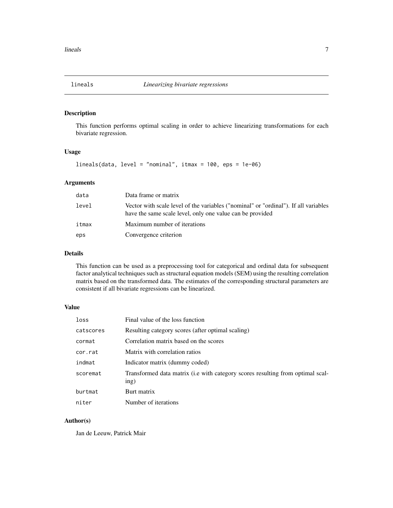<span id="page-6-1"></span><span id="page-6-0"></span>

# Description

This function performs optimal scaling in order to achieve linearizing transformations for each bivariate regression.

# Usage

```
lineals(data, level = "nominal", itmax = 100, eps = 1e-06)
```
#### Arguments

| data  | Data frame or matrix                                                                                                                             |
|-------|--------------------------------------------------------------------------------------------------------------------------------------------------|
| level | Vector with scale level of the variables ("nominal" or "ordinal"). If all variables<br>have the same scale level, only one value can be provided |
| itmax | Maximum number of iterations                                                                                                                     |
| eps   | Convergence criterion                                                                                                                            |

# Details

This function can be used as a preprocessing tool for categorical and ordinal data for subsequent factor analytical techniques such as structural equation models (SEM) using the resulting correlation matrix based on the transformed data. The estimates of the corresponding structural parameters are consistent if all bivariate regressions can be linearized.

# Value

| loss      | Final value of the loss function                                                       |
|-----------|----------------------------------------------------------------------------------------|
| catscores | Resulting category scores (after optimal scaling)                                      |
| cormat    | Correlation matrix based on the scores                                                 |
| cor.rat   | Matrix with correlation ratios                                                         |
| indmat    | Indicator matrix (dummy coded)                                                         |
| scoremat  | Transformed data matrix (i.e with category scores resulting from optimal scal-<br>ing) |
| burtmat   | Burt matrix                                                                            |
| niter     | Number of iterations                                                                   |

# Author(s)

Jan de Leeuw, Patrick Mair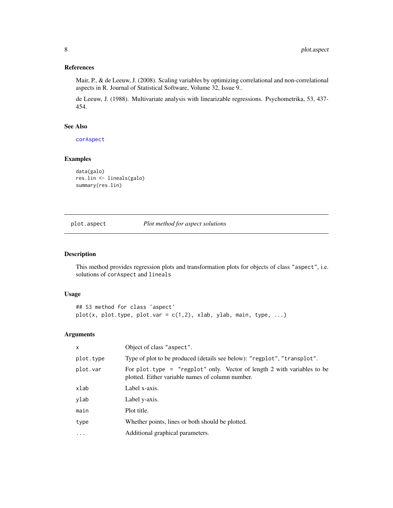# <span id="page-7-0"></span>References

Mair, P., & de Leeuw, J. (2008). Scaling variables by optimizing correlational and non-correlational aspects in R. Journal of Statistical Software, Volume 32, Issue 9..

de Leeuw, J. (1988). Multivariate analysis with linearizable regressions. Psychometrika, 53, 437- 454.

# See Also

[corAspect](#page-2-1)

# Examples

```
data(galo)
res.lin <- lineals(galo)
summary(res.lin)
```
plot.aspect *Plot method for aspect solutions*

# Description

This method provides regression plots and transformation plots for objects of class "aspect", i.e. solutions of corAspect and lineals

#### Usage

```
## S3 method for class 'aspect'
plot(x, plot_type, plot.var = c(1,2), xlab, ylab, main, type, ...)
```
# Arguments

| $\mathsf{x}$ | Object of class "aspect".                                                                                                      |
|--------------|--------------------------------------------------------------------------------------------------------------------------------|
| plot.type    | Type of plot to be produced (details see below): "regplot", "transplot".                                                       |
| plot.var     | For plot. type $=$ "regplot" only. Vector of length 2 with variables to be<br>plotted. Either variable names of column number. |
| xlab         | Label x-axis.                                                                                                                  |
| ylab         | Label y-axis.                                                                                                                  |
| main         | Plot title.                                                                                                                    |
| type         | Whether points, lines or both should be plotted.                                                                               |
| .            | Additional graphical parameters.                                                                                               |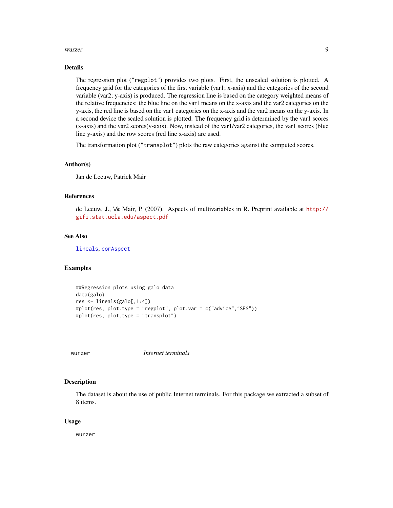#### <span id="page-8-0"></span>wurzer 9 auch 1980 wurzer 1980 wurzer 1980 wurzer 1980 wurzer 1980 wurzer 1980 wurzer 1980 wurzer 1980 wurzer 1980 wurzer 1980 wurzer 1980 wurzer 1980 wurzer 1980 wurzer 1980 wurzer 1980 wurzer 1980 wurzer 1980 wurzer 1980

#### Details

The regression plot ("regplot") provides two plots. First, the unscaled solution is plotted. A frequency grid for the categories of the first variable (var1; x-axis) and the categories of the second variable (var2; y-axis) is produced. The regression line is based on the category weighted means of the relative frequencies: the blue line on the var1 means on the x-axis and the var2 categories on the y-axis, the red line is based on the var1 categories on the x-axis and the var2 means on the y-axis. In a second device the scaled solution is plotted. The frequency grid is determined by the var1 scores (x-axis) and the var2 scores(y-axis). Now, instead of the var1/var2 categories, the var1 scores (blue line y-axis) and the row scores (red line x-axis) are used.

The transformation plot ("transplot") plots the raw categories against the computed scores.

#### Author(s)

Jan de Leeuw, Patrick Mair

# References

de Leeuw, J., \& Mair, P. (2007). Aspects of multivariables in R. Preprint available at [http://](http://gifi.stat.ucla.edu/aspect.pdf) [gifi.stat.ucla.edu/aspect.pdf](http://gifi.stat.ucla.edu/aspect.pdf)

# See Also

[lineals](#page-6-1), [corAspect](#page-2-1)

# Examples

```
##Regression plots using galo data
data(galo)
res <- lineals(galo[,1:4])
#plot(res, plot.type = "regplot", plot.var = c("advice","SES"))
#plot(res, plot.type = "transplot")
```
wurzer *Internet terminals*

#### **Description**

The dataset is about the use of public Internet terminals. For this package we extracted a subset of 8 items.

#### Usage

wurzer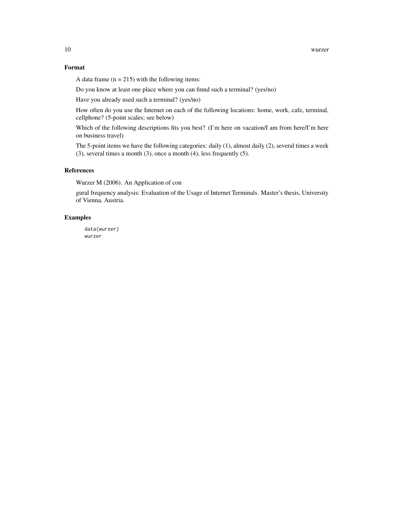# Format

A data frame  $(n = 215)$  with the following items:

Do you know at least one place where you can finnd such a terminal? (yes/no)

Have you already used such a terminal? (yes/no)

How often do you use the Internet on each of the following locations: home, work, cafe, terminal, cellphone? (5-point scales; see below)

Which of the following descriptions fits you best? (I'm here on vacation/I am from here/I'm here on business travel)

The 5-point items we have the following categories: daily (1), almost daily (2), several times a week  $(3)$ , several times a month  $(3)$ , once a month  $(4)$ , less frequently  $(5)$ .

#### References

Wurzer M (2006). An Application of con

gural frequency analysis: Evaluation of the Usage of Internet Terminals. Master's thesis, University of Vienna, Austria.

# Examples

data(wurzer) wurzer